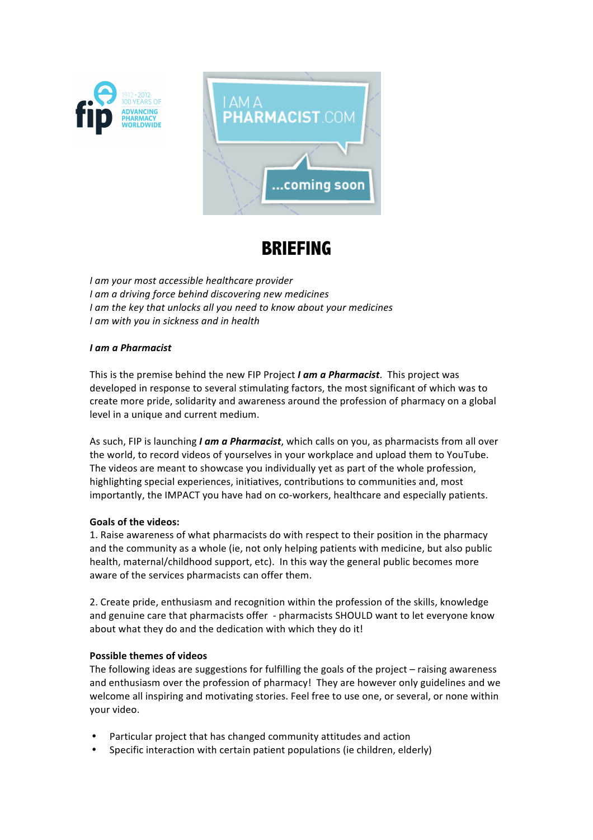



# **BRIEFING**

*I* am your most accessible healthcare provider *I* am a driving force behind discovering new medicines *I* am the key that unlocks all you need to know about your medicines *I* am with you in sickness and in health

### *I* am a Pharmacist

This is the premise behind the new FIP Project *I am a Pharmacist*. This project was developed in response to several stimulating factors, the most significant of which was to create more pride, solidarity and awareness around the profession of pharmacy on a global level in a unique and current medium.

As such, FIP is launching *I am a Pharmacist*, which calls on you, as pharmacists from all over the world, to record videos of yourselves in your workplace and upload them to YouTube. The videos are meant to showcase you individually yet as part of the whole profession, highlighting special experiences, initiatives, contributions to communities and, most importantly, the IMPACT you have had on co-workers, healthcare and especially patients.

#### Goals of the videos:

1. Raise awareness of what pharmacists do with respect to their position in the pharmacy and the community as a whole (ie, not only helping patients with medicine, but also public health, maternal/childhood support, etc). In this way the general public becomes more aware of the services pharmacists can offer them.

2. Create pride, enthusiasm and recognition within the profession of the skills, knowledge and genuine care that pharmacists offer - pharmacists SHOULD want to let everyone know about what they do and the dedication with which they do it!

#### **Possible themes of videos**

The following ideas are suggestions for fulfilling the goals of the project  $-$  raising awareness and enthusiasm over the profession of pharmacy! They are however only guidelines and we welcome all inspiring and motivating stories. Feel free to use one, or several, or none within your video.

- Particular project that has changed community attitudes and action
- Specific interaction with certain patient populations (ie children, elderly)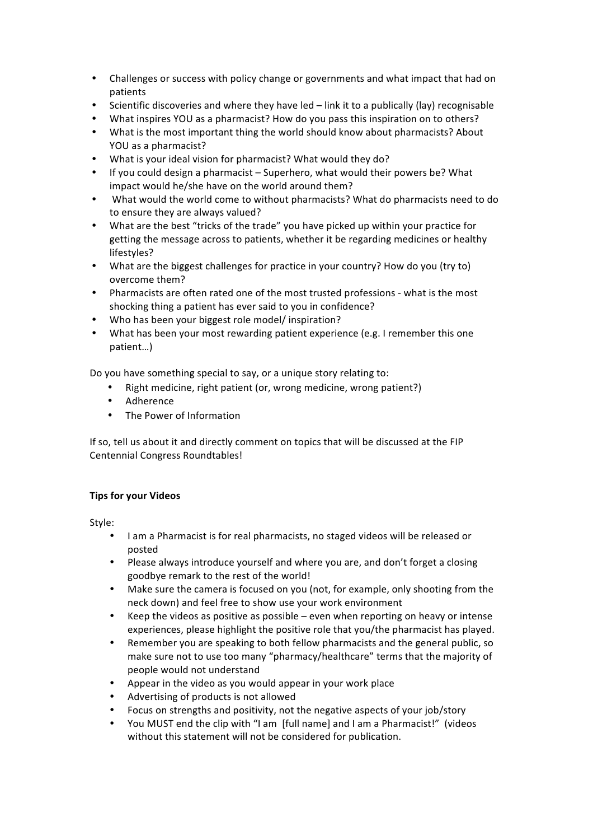- Challenges or success with policy change or governments and what impact that had on patients
- Scientific discoveries and where they have led link it to a publically (lay) recognisable
- What inspires YOU as a pharmacist? How do you pass this inspiration on to others?
- What is the most important thing the world should know about pharmacists? About YOU as a pharmacist?
- What is your ideal vision for pharmacist? What would they do?
- If you could design a pharmacist Superhero, what would their powers be? What impact would he/she have on the world around them?
- What would the world come to without pharmacists? What do pharmacists need to do to ensure they are always valued?
- . What are the best "tricks of the trade" you have picked up within your practice for getting the message across to patients, whether it be regarding medicines or healthy lifestyles?
- What are the biggest challenges for practice in your country? How do you (try to) overcome them?
- Pharmacists are often rated one of the most trusted professions what is the most shocking thing a patient has ever said to you in confidence?
- Who has been your biggest role model/ inspiration?
- What has been your most rewarding patient experience (e.g. I remember this one patient…)

Do you have something special to say, or a unique story relating to:

- Right medicine, right patient (or, wrong medicine, wrong patient?)
- Adherence
- The Power of Information

If so, tell us about it and directly comment on topics that will be discussed at the FIP Centennial Congress Roundtables!

## **Tips for your Videos**

Style:

- . I am a Pharmacist is for real pharmacists, no staged videos will be released or posted
- Please always introduce yourself and where you are, and don't forget a closing goodbye remark to the rest of the world!
- Make sure the camera is focused on you (not, for example, only shooting from the neck down) and feel free to show use your work environment
- Keep the videos as positive as possible even when reporting on heavy or intense experiences, please highlight the positive role that you/the pharmacist has played.
- Remember you are speaking to both fellow pharmacists and the general public, so make sure not to use too many "pharmacy/healthcare" terms that the majority of people would not understand
- Appear in the video as you would appear in your work place
- Advertising of products is not allowed
- Focus on strengths and positivity, not the negative aspects of your job/story
- . You MUST end the clip with "I am [full name] and I am a Pharmacist!" (videos without this statement will not be considered for publication.